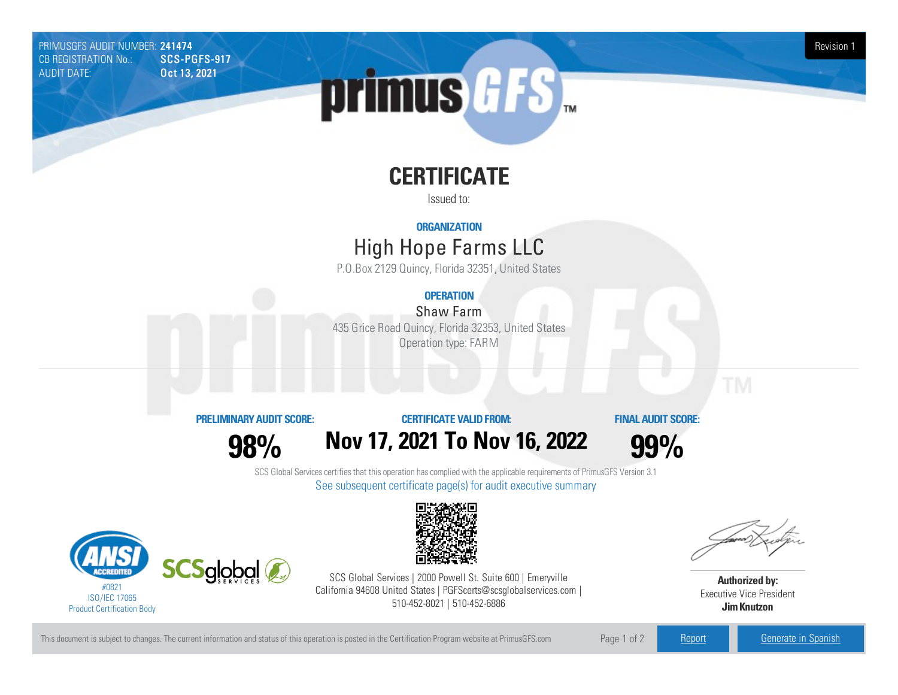PRIMUSGFS AUDIT NUMBER: 241474 Revision 1<br>CB REGISTRATION No.: SCS-PGFS-917 Revision 1 CB REGISTRATION No.: AUDIT DATE: **Oct 13, 2021** 

# primus GFS

## **CERTIFICATE**

Issued to:

### **ORGANIZATION**

## High Hope FarmsLLC

P.O.Box 2129 Quincy, Florida 32351, United States

## **OPERATION**

Shaw Farm 435 Grice Road Quincy, Florida 32353, United States Operation type: FARM

#### **PRELIMINARYAUDIT SCORE:**

**98%**

**CERTIFICATE VALIDFROM:**

**Nov17, 2021 To Nov16, 2022**

**FINAL AUDIT SCORE:**

**99%**

SCS Global Services certifies that this operation has complied with the applicable requirements of PrimusGFS Version 3.1 See subsequent certificate page(s) for audit executive summary





SCS Global Services | 2000 Powell St. Suite 600 | Emeryville California 94608 United States | PGFScerts@scsglobalservices.com | 510-452-8021 | 510-452-6886



**Authorized by:** Executive Vice President **JimKnutzon**

This document is subject to changes. The current information and status of this operation is posted in the Certification Program website at PrimusGFS.com Page 1 of 2 [Report](https://secure.azzule.com/PGFSDocuments/PGFS_AuditReport241474_7554_1_EN.pdf) [Generate](https://secure.azzule.com/PrimusGFSAudits/pdfGenerator.aspx?AuditHeaderID=32037859676469019956588259221818483492711&AppId=46172084536&LanguageID=1&UserId=1) in Spanish